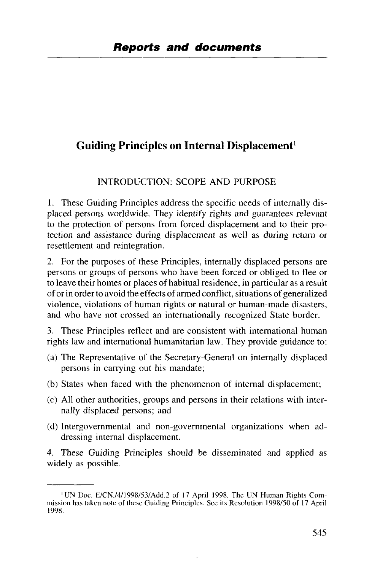# Guiding Principles on Internal Displacement<sup>1</sup>

### INTRODUCTION: SCOPE AND PURPOSE

1. These Guiding Principles address the specific needs of internally displaced persons worldwide. They identify rights and guarantees relevant to the protection of persons from forced displacement and to their protection and assistance during displacement as well as during return or resettlement and reintegration.

2. For the purposes of these Principles, internally displaced persons are persons or groups of persons who have been forced or obliged to flee or to leave their homes or places of habitual residence, in particular as a result of or in order to avoid the effects of armed conflict, situations of generalized violence, violations of human rights or natural or human-made disasters, and who have not crossed an internationally recognized State border.

3. These Principles reflect and are consistent with international human rights law and international humanitarian law. They provide guidance to:

- (a) The Representative of the Secretary-General on internally displaced persons in carrying out his mandate;
- (b) States when faced with the phenomenon of internal displacement;
- (c) All other authorities, groups and persons in their relations with internally displaced persons; and
- (d) Intergovernmental and non-governmental organizations when addressing internal displacement.

4. These Guiding Principles should be disseminated and applied as widely as possible.

<sup>&#</sup>x27;UN Doc. E/CN./4/1998/53/Add.2 of 17 April 1998. The UN Human Rights Commission has taken note of these Guiding Principles. See its Resolution 1998/50 of 17 April 1998.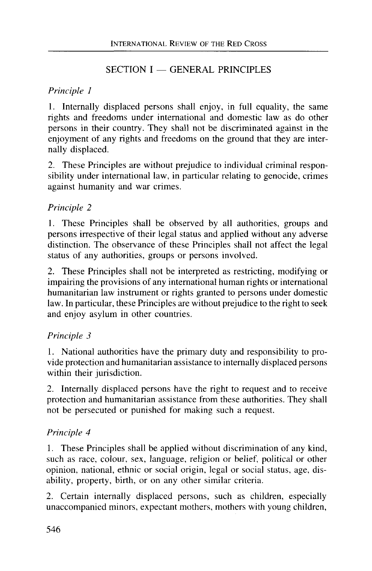## SECTION I — GENERAL PRINCIPLES

## *Principle 1*

1. Internally displaced persons shall enjoy, in full equality, the same rights and freedoms under international and domestic law as do other persons in their country. They shall not be discriminated against in the enjoyment of any rights and freedoms on the ground that they are internally displaced.

2. These Principles are without prejudice to individual criminal responsibility under international law, in particular relating to genocide, crimes against humanity and war crimes.

# *Principle 2*

1. These Principles shall be observed by all authorities, groups and persons irrespective of their legal status and applied without any adverse distinction. The observance of these Principles shall not affect the legal status of any authorities, groups or persons involved.

2. These Principles shall not be interpreted as restricting, modifying or impairing the provisions of any international human rights or international humanitarian law instrument or rights granted to persons under domestic law. In particular, these Principles are without prejudice to the right to seek and enjoy asylum in other countries.

## *Principle 3*

1. National authorities have the primary duty and responsibility to provide protection and humanitarian assistance to internally displaced persons within their jurisdiction.

2. Internally displaced persons have the right to request and to receive protection and humanitarian assistance from these authorities. They shall not be persecuted or punished for making such a request.

## *Principle 4*

1. These Principles shall be applied without discrimination of any kind, such as race, colour, sex, language, religion or belief, political or other opinion, national, ethnic or social origin, legal or social status, age, disability, property, birth, or on any other similar criteria.

2. Certain internally displaced persons, such as children, especially unaccompanied minors, expectant mothers, mothers with young children,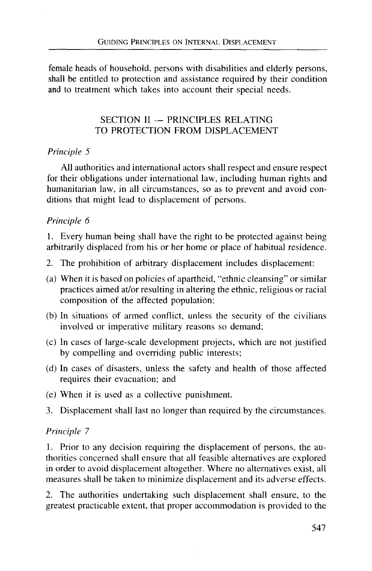female heads of household, persons with disabilities and elderly persons, shall be entitled to protection and assistance required by their condition and to treatment which takes into account their special needs.

#### SECTION II — PRINCIPLES RELATING TO PROTECTION FROM DISPLACEMENT

#### *Principle 5*

All authorities and international actors shall respect and ensure respect for their obligations under international law, including human rights and humanitarian law, in all circumstances, so as to prevent and avoid conditions that might lead to displacement of persons.

#### *Principle 6*

1. Every human being shall have the right to be protected against being arbitrarily displaced from his or her home or place of habitual residence.

- 2. The prohibition of arbitrary displacement includes displacement:
- (a) When it is based on policies of apartheid, "ethnic cleansing" or similar practices aimed at/or resulting in altering the ethnic, religious or racial composition of the affected population;
- (b) In situations of armed conflict, unless the security of the civilians involved or imperative military reasons so demand;
- (c) In cases of large-scale development projects, which are not justified by compelling and overriding public interests;
- (d) In cases of disasters, unless the safety and health of those affected requires their evacuation; and
- (e) When it is used as a collective punishment.
- 3. Displacement shall last no longer than required by the circumstances.

#### *Principle 7*

1. Prior to any decision requiring the displacement of persons, the authorities concerned shall ensure that all feasible alternatives are explored in order to avoid displacement altogether. Where no alternatives exist, all measures shall be taken to minimize displacement and its adverse effects.

2. The authorities undertaking such displacement shall ensure, to the greatest practicable extent, that proper accommodation is provided to the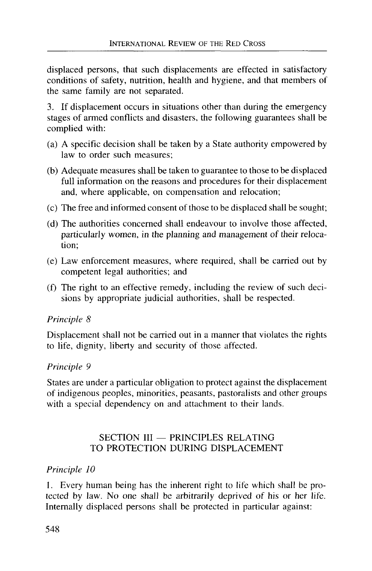displaced persons, that such displacements are effected in satisfactory conditions of safety, nutrition, health and hygiene, and that members of the same family are not separated.

3. If displacement occurs in situations other than during the emergency stages of armed conflicts and disasters, the following guarantees shall be complied with:

- (a) A specific decision shall be taken by a State authority empowered by law to order such measures;
- (b) Adequate measures shall be taken to guarantee to those to be displaced full information on the reasons and procedures for their displacement and, where applicable, on compensation and relocation;
- (c) The free and informed consent of those to be displaced shall be sought;
- (d) The authorities concerned shall endeavour to involve those affected, particularly women, in the planning and management of their relocation;
- (e) Law enforcement measures, where required, shall be carried out by competent legal authorities; and
- (f) The right to an effective remedy, including the review of such decisions by appropriate judicial authorities, shall be respected.

#### *Principle 8*

Displacement shall not be carried out in a manner that violates the rights to life, dignity, liberty and security of those affected.

#### *Principle 9*

States are under a particular obligation to protect against the displacement of indigenous peoples, minorities, peasants, pastoralists and other groups with a special dependency on and attachment to their lands.

### SECTION III — PRINCIPLES RELATING TO PROTECTION DURING DISPLACEMENT

#### *Principle 10*

I. Every human being has the inherent right to life which shall be protected by law. No one shall be arbitrarily deprived of his or her life. Internally displaced persons shall be protected in particular against: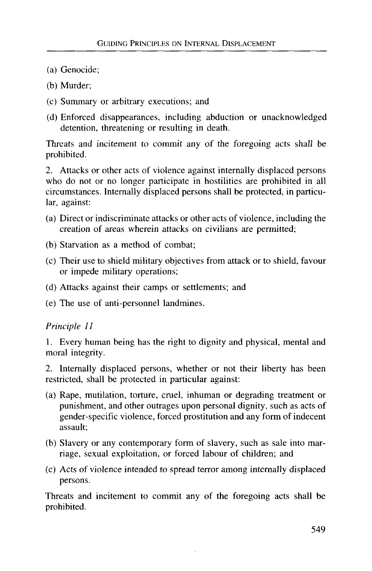- (a) Genocide;
- (b) Murder;
- (c) Summary or arbitrary executions; and
- (d) Enforced disappearances, including abduction or unacknowledged detention, threatening or resulting in death.

Threats and incitement to commit any of the foregoing acts shall be prohibited.

2. Attacks or other acts of violence against internally displaced persons who do not or no longer participate in hostilities are prohibited in all circumstances. Internally displaced persons shall be protected, in particular, against:

- (a) Direct or indiscriminate attacks or other acts of violence, including the creation of areas wherein attacks on civilians are permitted;
- (b) Starvation as a method of combat;
- (c) Their use to shield military objectives from attack or to shield, favour or impede military operations;
- (d) Attacks against their camps or settlements; and
- (e) The use of anti-personnel landmines.

#### *Principle 11*

1. Every human being has the right to dignity and physical, mental and moral integrity.

2. Internally displaced persons, whether or not their liberty has been restricted, shall be protected in particular against:

- (a) Rape, mutilation, torture, cruel, inhuman or degrading treatment or punishment, and other outrages upon personal dignity, such as acts of gender-specific violence, forced prostitution and any form of indecent assault;
- (b) Slavery or any contemporary form of slavery, such as sale into marriage, sexual exploitation, or forced labour of children; and
- (c) Acts of violence intended to spread terror among internally displaced persons.

Threats and incitement to commit any of the foregoing acts shall be prohibited.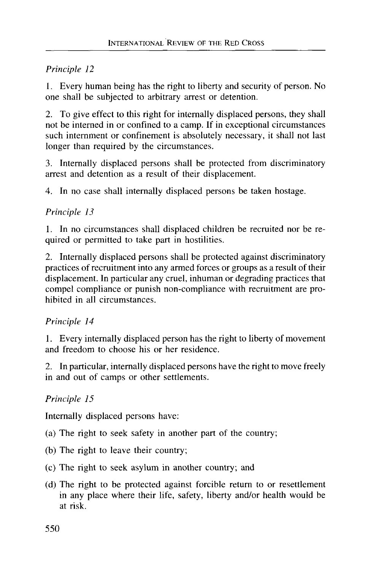1. Every human being has the right to liberty and security of person. No one shall be subjected to arbitrary arrest or detention.

2. To give effect to this right for internally displaced persons, they shall not be interned in or confined to a camp. If in exceptional circumstances such internment or confinement is absolutely necessary, it shall not last longer than required by the circumstances.

3. Internally displaced persons shall be protected from discriminatory arrest and detention as a result of their displacement.

4. In no case shall internally displaced persons be taken hostage.

# *Principle 13*

1. In no circumstances shall displaced children be recruited nor be required or permitted to take part in hostilities.

2. Internally displaced persons shall be protected against discriminatory practices of recruitment into any armed forces or groups as a result of their displacement. In particular any cruel, inhuman or degrading practices that compel compliance or punish non-compliance with recruitment are prohibited in all circumstances.

## *Principle 14*

1. Every internally displaced person has the right to liberty of movement and freedom to choose his or her residence.

2. In particular, internally displaced persons have the right to move freely in and out of camps or other settlements.

# *Principle 15*

Internally displaced persons have:

- (a) The right to seek safety in another part of the country;
- (b) The right to leave their country;
- (c) The right to seek asylum in another country; and
- (d) The right to be protected against forcible return to or resettlement in any place where their life, safety, liberty and/or health would be at risk.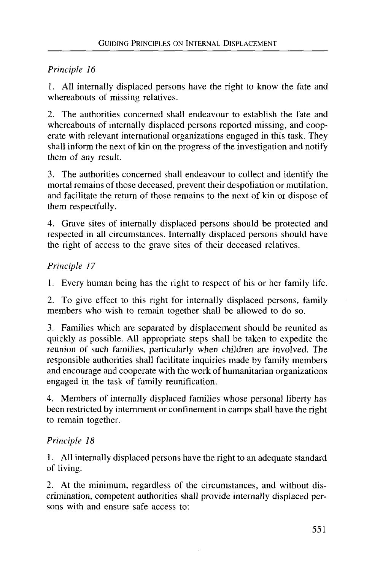1. All internally displaced persons have the right to know the fate and whereabouts of missing relatives.

2. The authorities concerned shall endeavour to establish the fate and whereabouts of internally displaced persons reported missing, and cooperate with relevant international organizations engaged in this task. They shall inform the next of kin on the progress of the investigation and notify them of any result.

3. The authorities concerned shall endeavour to collect and identify the mortal remains of those deceased, prevent their despoliation or mutilation, and facilitate the return of those remains to the next of kin or dispose of them respectfully.

4. Grave sites of internally displaced persons should be protected and respected in all circumstances. Internally displaced persons should have the right of access to the grave sites of their deceased relatives.

# *Principle 17*

1. Every human being has the right to respect of his or her family life.

2. To give effect to this right for internally displaced persons, family members who wish to remain together shall be allowed to do so.

3. Families which are separated by displacement should be reunited as quickly as possible. All appropriate steps shall be taken to expedite the reunion of such families, particularly when children are involved. The responsible authorities shall facilitate inquiries made by family members and encourage and cooperate with the work of humanitarian organizations engaged in the task of family reunification.

4. Members of internally displaced families whose personal liberty has been restricted by internment or confinement in camps shall have the right to remain together.

# *Principle 18*

1. All internally displaced persons have the right to an adequate standard of living.

2. At the minimum, regardless of the circumstances, and without discrimination, competent authorities shall provide internally displaced persons with and ensure safe access to: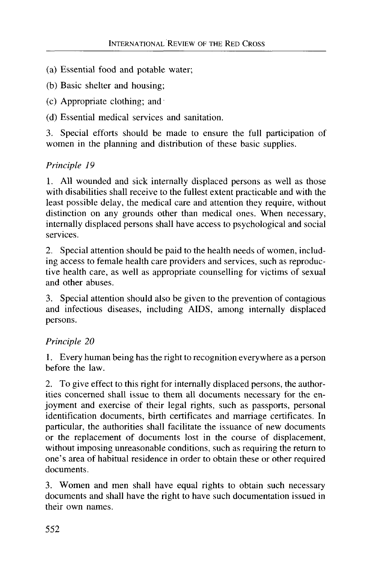- (a) Essential food and potable water;
- (b) Basic shelter and housing;
- (c) Appropriate clothing; and
- (d) Essential medical services and sanitation.

3. Special efforts should be made to ensure the full participation of women in the planning and distribution of these basic supplies.

# *Principle 19*

1. All wounded and sick internally displaced persons as well as those with disabilities shall receive to the fullest extent practicable and with the least possible delay, the medical care and attention they require, without distinction on any grounds other than medical ones. When necessary, internally displaced persons shall have access to psychological and social services.

2. Special attention should be paid to the health needs of women, including access to female health care providers and services, such as reproductive health care, as well as appropriate counselling for victims of sexual and other abuses.

3. Special attention should also be given to the prevention of contagious and infectious diseases, including AIDS, among internally displaced persons.

# *Principle 20*

1. Every human being has the right to recognition everywhere as a person before the law.

2. To give effect to this right for internally displaced persons, the authorities concerned shall issue to them all documents necessary for the enjoyment and exercise of their legal rights, such as passports, personal identification documents, birth certificates and marriage certificates. In particular, the authorities shall facilitate the issuance of new documents or the replacement of documents lost in the course of displacement, without imposing unreasonable conditions, such as requiring the return to one's area of habitual residence in order to obtain these or other required documents.

3. Women and men shall have equal rights to obtain such necessary documents and shall have the right to have such documentation issued in their own names.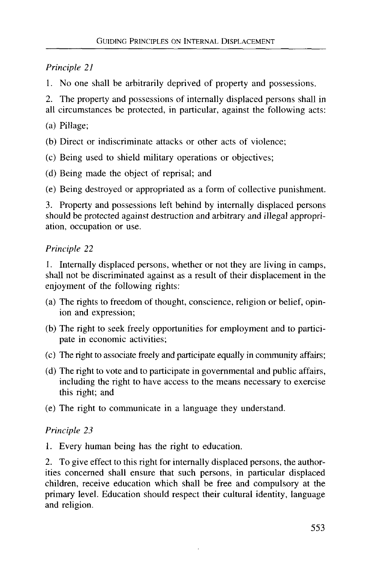1. No one shall be arbitrarily deprived of property and possessions.

2. The property and possessions of internally displaced persons shall in all circumstances be protected, in particular, against the following acts:

- (a) Pillage;
- (b) Direct or indiscriminate attacks or other acts of violence;
- (c) Being used to shield military operations or objectives;
- (d) Being made the object of reprisal; and

(e) Being destroyed or appropriated as a form of collective punishment.

3. Property and possessions left behind by internally displaced persons should be protected against destruction and arbitrary and illegal appropriation, occupation or use.

## *Principle 22*

1. Internally displaced persons, whether or not they are living in camps, shall not be discriminated against as a result of their displacement in the enjoyment of the following rights:

- (a) The rights to freedom of thought, conscience, religion or belief, opinion and expression;
- (b) The right to seek freely opportunities for employment and to participate in economic activities;
- (c) The right to associate freely and participate equally in community affairs;
- (d) The right to vote and to participate in governmental and public affairs, including the right to have access to the means necessary to exercise this right; and
- (e) The right to communicate in a language they understand.

## *Principle 23*

1. Every human being has the right to education.

2. To give effect to this right for internally displaced persons, the authorities concerned shall ensure that such persons, in particular displaced children, receive education which shall be free and compulsory at the primary level. Education should respect their cultural identity, language and religion.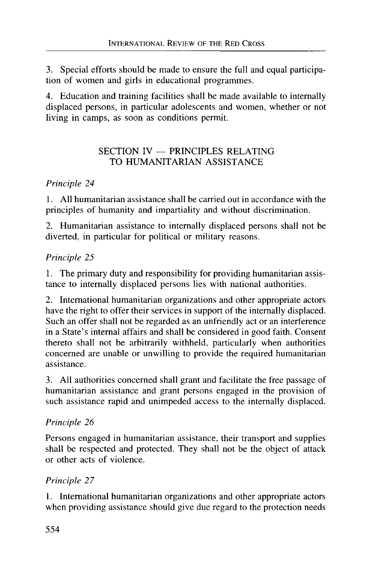3. Special efforts should be made to ensure the full and equal participation of women and girls in educational programmes.

4. Education and training facilities shall be made available to internally displaced persons, in particular adolescents and women, whether or not living in camps, as soon as conditions permit.

## SECTION IV — PRINCIPLES RELATING TO HUMANITARIAN ASSISTANCE

# *Principle 24*

1. All humanitarian assistance shall be carried out in accordance with the principles of humanity and impartiality and without discrimination.

2. Humanitarian assistance to internally displaced persons shall not be diverted, in particular for political or military reasons.

# *Principle 25*

1. The primary duty and responsibility for providing humanitarian assistance to internally displaced persons lies with national authorities.

2. International humanitarian organizations and other appropriate actors have the right to offer their services in support of the internally displaced. Such an offer shall not be regarded as an unfriendly act or an interference in a State's internal affairs and shall be considered in good faith. Consent thereto shall not be arbitrarily withheld, particularly when authorities concerned are unable or unwilling to provide the required humanitarian assistance.

3. All authorities concerned shall grant and facilitate the free passage of humanitarian assistance and grant persons engaged in the provision of such assistance rapid and unimpeded access to the internally displaced.

# *Principle 26*

Persons engaged in humanitarian assistance, their transport and supplies shall be respected and protected. They shall not be the object of attack or other acts of violence.

## *Principle 27*

1. International humanitarian organizations and other appropriate actors when providing assistance should give due regard to the protection needs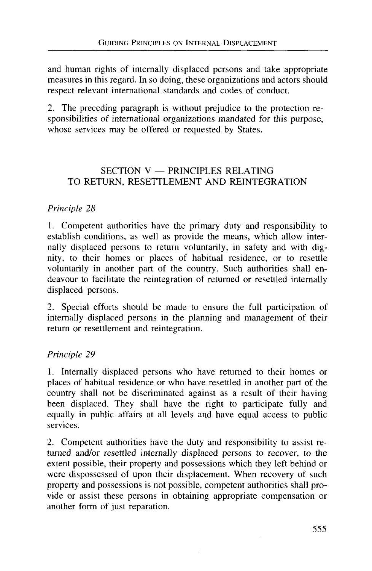and human rights of internally displaced persons and take appropriate measures in this regard. In so doing, these organizations and actors should respect relevant international standards and codes of conduct.

2. The preceding paragraph is without prejudice to the protection responsibilities of international organizations mandated for this purpose, whose services may be offered or requested by States.

### SECTION V — PRINCIPLES RELATING TO RETURN, RESETTLEMENT AND REINTEGRATION

### *Principle 28*

1. Competent authorities have the primary duty and responsibility to establish conditions, as well as provide the means, which allow internally displaced persons to return voluntarily, in safety and with dignity, to their homes or places of habitual residence, or to resettle voluntarily in another part of the country. Such authorities shall endeavour to facilitate the reintegration of returned or resettled internally displaced persons.

2. Special efforts should be made to ensure the full participation of internally displaced persons in the planning and management of their return or resettlement and reintegration.

#### *Principle 29*

1. Internally displaced persons who have returned to their homes or places of habitual residence or who have resettled in another part of the country shall not be discriminated against as a result of their having been displaced. They shall have the right to participate fully and equally in public affairs at all levels and have equal access to public services.

2. Competent authorities have the duty and responsibility to assist returned and/or resettled internally displaced persons to recover, to the extent possible, their property and possessions which they left behind or were dispossessed of upon their displacement. When recovery of such property and possessions is not possible, competent authorities shall provide or assist these persons in obtaining appropriate compensation or another form of just reparation.